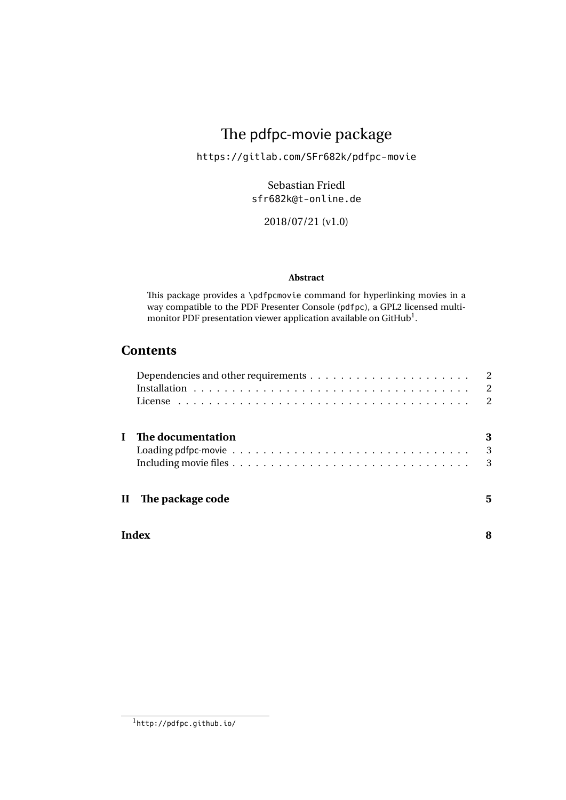## The pdfpc-movie package

<https://gitlab.com/SFr682k/pdfpc-movie>

Sebastian Friedl [sfr682k@t-online.de](mailto:sfr682k@t-online.de)

2018/07/21 (v1.0)

### **Abstract**

This package provides a \pdfpcmovie command for hyperlinking movies in a way compatible to the [PDF Presenter Console \(](http://pdfpc.github.io/)pdfpc), a GPL2 licensed multi[monitor PDF presentation viewer application available on GitHub](http://pdfpc.github.io/) $^1$  $^1$ .

## **Contents**

|       |                     | 2<br>2<br>2 |
|-------|---------------------|-------------|
|       | The documentation   | 3<br>3      |
|       | II The package code | 3<br>5      |
| Index |                     |             |

<span id="page-0-0"></span><sup>1</sup><http://pdfpc.github.io/>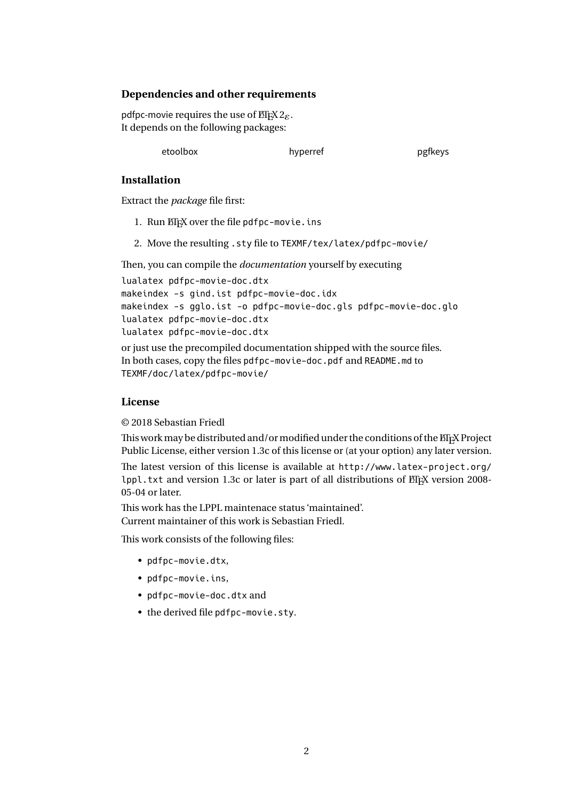## <span id="page-1-0"></span>**Dependencies and other requirements**

pdfpc-movie requires the use of  $EEx 2<sub>\varepsilon</sub>$ . It depends on the following packages:

etoolbox hyperref pgfkeys

### <span id="page-1-1"></span>**Installation**

Extract the *package* file first:

- 1. Run ETEX over the file pdfpc-movie.ins
- 2. Move the resulting .sty file to TEXMF/tex/latex/pdfpc-movie/

Then, you can compile the *documentation* yourself by executing

```
lualatex pdfpc-movie-doc.dtx
```
makeindex -s gind.ist pdfpc-movie-doc.idx

```
makeindex -s gglo.ist -o pdfpc-movie-doc.gls pdfpc-movie-doc.glo
```

```
lualatex pdfpc-movie-doc.dtx
```
lualatex pdfpc-movie-doc.dtx

or just use the precompiled documentation shipped with the source files. In both cases, copy the files pdfpc-movie-doc.pdf and README.md to TEXMF/doc/latex/pdfpc-movie/

## <span id="page-1-2"></span>**License**

© 2018 Sebastian Friedl

This work may be distributed and/or modified under the conditions of the ETEX Project Public License, either version 1.3c of this license or (at your option) any later version.

The latest version of this license is available at [http://www.latex-project.org/](http://www.latex-project.org/lppl.txt) [lppl.txt](http://www.latex-project.org/lppl.txt) and version 1.3c or later is part of all distributions of  $E$ F<sub>K</sub> version 2008-05-04 or later.

This work has the LPPL maintenace status 'maintained'. Current maintainer of this work is Sebastian Friedl.

This work consists of the following files:

- pdfpc-movie.dtx,
- pdfpc-movie.ins,
- pdfpc-movie-doc.dtx and
- the derived file pdfpc-movie.sty.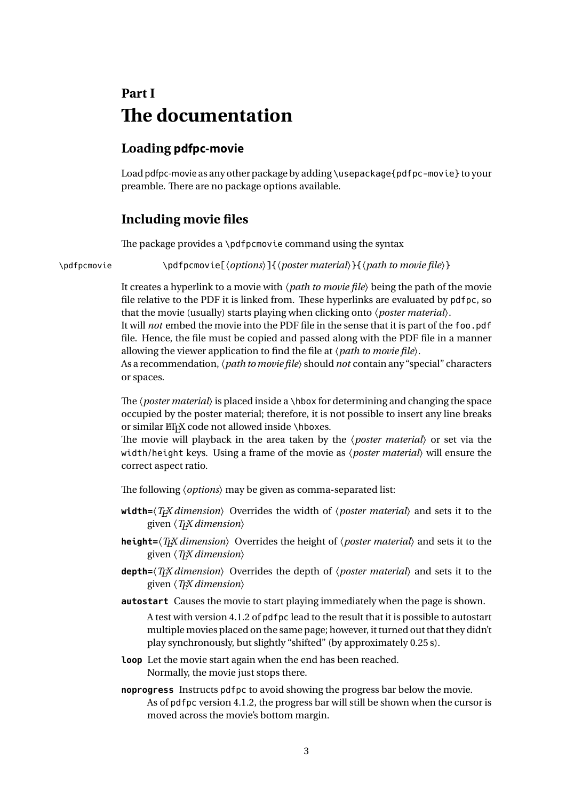# <span id="page-2-0"></span>**Part I The documentation**

## <span id="page-2-1"></span>**Loading pdfpc-movie**

Load pdfpc-movie as any other package by adding \usepackage{pdfpc-movie} to your preamble. There are no package options available.

## <span id="page-2-2"></span>**Including movie files**

The package provides a \pdfpcmovie command using the syntax

\pdfpcmovie \pdfpcmovie[\*options*}]{\poster material\}{\path to movie file\}

It creates a hyperlink to a movie with  $\langle path\ to\ movie\ file \rangle$  being the path of the movie file relative to the PDF it is linked from. These hyperlinks are evaluated by pdfpc, so that the movie (usually) starts playing when clicking onto *(poster material)*.

It will *not* embed the movie into the PDF file in the sense that it is part of the foo.pdf file. Hence, the file must be copied and passed along with the PDF file in a manner allowing the viewer application to find the file at  $\langle path\ to\ movie\ file\rangle$ .

As a recommendation, *(path to movie file)* should *not* contain any "special" characters or spaces.

The  $\{poster material\}$  is placed inside a  $\hbar$  box for determining and changing the space occupied by the poster material; therefore, it is not possible to insert any line breaks or similar ETEX code not allowed inside \hboxes.

The movie will playback in the area taken by the  $\langle posterior \rangle$  or set via the width/height keys. Using a frame of the movie as *(poster material)* will ensure the correct aspect ratio.

The following *(options)* may be given as comma-separated list:

- width= $\langle T_F X$  *dimension*) Overrides the width of  $\langle posterior \rangle$  and sets it to the given  $\langle T_F X$  *dimension*)
- **height=** $\langle Tx \rangle$  dimension<sub>i</sub> Overrides the height of  $\langle posterior \rangle$  and sets it to the given  $\langle T_F X$  *dimension* $\rangle$
- **depth=** $\langle T_F X \text{ dimension} \rangle$  Overrides the depth of  $\langle \text{poster material} \rangle$  and sets it to the given  $\langle T_F X$  *dimension*)
- **autostart** Causes the movie to start playing immediately when the page is shown.

A test with version 4.1.2 of pdfpc lead to the result that it is possible to autostart multiple movies placed on the same page; however, it turned out that they didn't play synchronously, but slightly "shifted" (by approximately 0.25 s).

- **loop** Let the movie start again when the end has been reached. Normally, the movie just stops there.
- **noprogress** Instructs pdfpc to avoid showing the progress bar below the movie. As of pdfpc version 4.1.2, the progress bar will still be shown when the cursor is moved across the movie's bottom margin.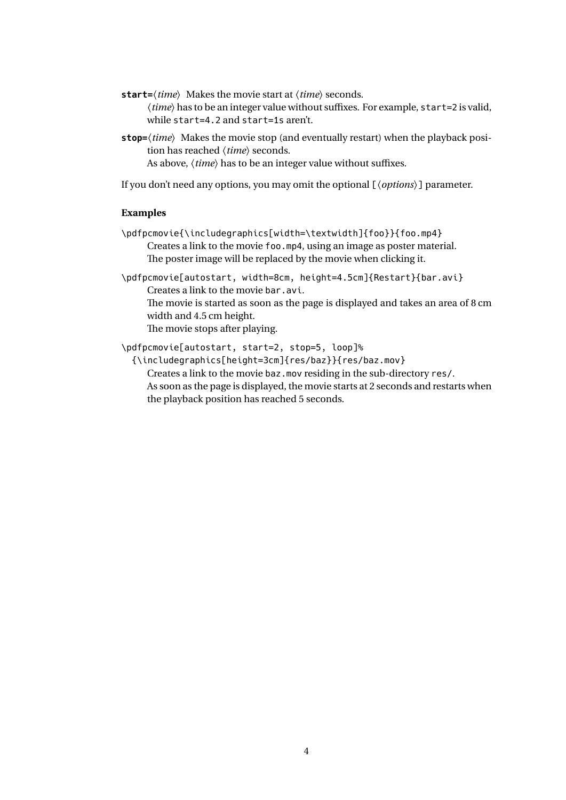- **start=** $\langle time \rangle$  Makes the movie start at  $\langle time \rangle$  seconds.  $\langle time \rangle$  has to be an integer value without suffixes. For example, start=2 is valid, while start=4.2 and start=1s aren't.
- **stop=** $\langle time \rangle$  Makes the movie stop (and eventually restart) when the playback position has reached  $\langle time \rangle$  seconds. As above,  $\langle time \rangle$  has to be an integer value without suffixes.

If you don't need any options, you may omit the optional [ $\langle options \rangle$ ] parameter.

#### **Examples**

\pdfpcmovie{\includegraphics[width=\textwidth]{foo}}{foo.mp4} Creates a link to the movie foo.mp4, using an image as poster material. The poster image will be replaced by the movie when clicking it.

\pdfpcmovie[autostart, width=8cm, height=4.5cm]{Restart}{bar.avi} Creates a link to the movie bar.avi.

The movie is started as soon as the page is displayed and takes an area of 8 cm width and 4.5 cm height.

The movie stops after playing.

\pdfpcmovie[autostart, start=2, stop=5, loop]%

{\includegraphics[height=3cm]{res/baz}}{res/baz.mov}

Creates a link to the movie baz.mov residing in the sub-directory res/. As soon as the page is displayed, the movie starts at 2 seconds and restarts when the playback position has reached 5 seconds.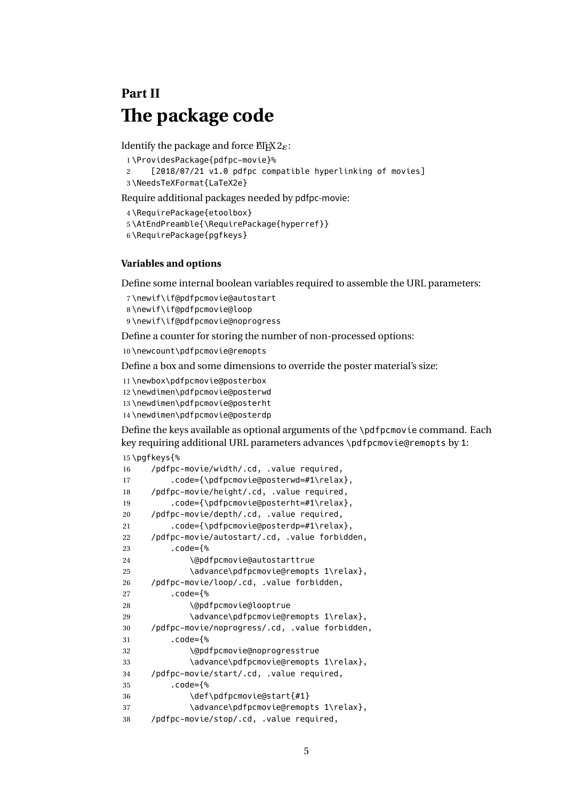## <span id="page-4-0"></span>**Part II The package code**

Identify the package and force  $\mathbb{E}[\mathbb{E}X \, 2_{\mathcal{E}}]$ :

\ProvidesPackage{pdfpc-movie}%

 [2018/07/21 v1.0 pdfpc compatible hyperlinking of movies] \NeedsTeXFormat{LaTeX2e}

Require additional packages needed by pdfpc-movie:

```
4 \RequirePackage{etoolbox}
```
\AtEndPreamble{\RequirePackage{hyperref}}

```
6 \RequirePackage{pgfkeys}
```
#### **Variables and options**

Define some internal boolean variables required to assemble the URL parameters:

```
7 \newif\if@pdfpcmovie@autostart
```

```
8 \newif\if@pdfpcmovie@loop
```
\newif\if@pdfpcmovie@noprogress

Define a counter for storing the number of non-processed options:

\newcount\pdfpcmovie@remopts

Define a box and some dimensions to override the poster material's size:

```
11 \newbox\pdfpcmovie@posterbox
```
\newdimen\pdfpcmovie@posterwd

\newdimen\pdfpcmovie@posterht

\newdimen\pdfpcmovie@posterdp

Define the keys available as optional arguments of the \pdfpcmovie command. Each key requiring additional URL parameters advances \pdfpcmovie@remopts by 1:

```
15 \pgfkeys{%
```

| 16 | /pdfpc-movie/width/.cd, .value required,              |
|----|-------------------------------------------------------|
| 17 | $.code={\rho}$ .code={\pdfpcmovie@posterwd=#1\relax}, |
| 18 | /pdfpc-movie/height/.cd, .value required,             |
| 19 | ${\emptyset}$ .code={\pdfpcmovie@posterht=#1\relax},  |
| 20 | /pdfpc-movie/depth/.cd, .value required,              |
| 21 | $.code={\hbox{pmovie@posterdp=#1\relax}},$            |
| 22 | /pdfpc-movie/autostart/.cd, .value forbidden,         |
| 23 | .code={%                                              |
| 24 | \@pdfpcmovie@autostarttrue                            |
| 25 | \advance\pdfpcmovie@remopts 1\relax},                 |
| 26 | /pdfpc-movie/loop/.cd, .value forbidden,              |
| 27 | .code={%                                              |
| 28 | \@pdfpcmovie@looptrue                                 |
| 29 | \advance\pdfpcmovie@remopts 1\relax},                 |
| 30 | /pdfpc-movie/noprogress/.cd, .value forbidden,        |
| 31 | .code={%                                              |
| 32 | \@pdfpcmovie@noprogresstrue                           |
| 33 | \advance\pdfpcmovie@remopts 1\relax},                 |
| 34 | /pdfpc-movie/start/.cd, .value required,              |
| 35 | .code={%                                              |
| 36 | \def\pdfpcmovie@start{#1}                             |
| 37 | \advance\pdfpcmovie@remopts 1\relax},                 |
| 38 | /pdfpc-movie/stop/.cd, .value required,               |
|    |                                                       |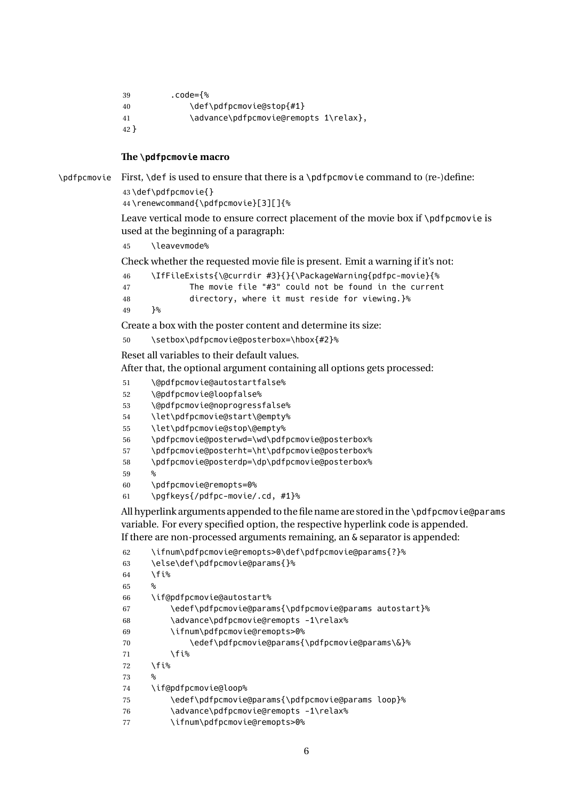```
39 .code={%
40 \def\pdfpcmovie@stop{#1}
41 \advance\pdfpcmovie@remopts 1\relax},
42 }
```
#### **The \pdfpcmovie macro**

\pdfpcmovie First, \def is used to ensure that there is a \pdfpcmovie command to (re-)define:

```
43 \def\pdfpcmovie{}
```

```
44 \renewcommand{\pdfpcmovie}[3][]{%
```
Leave vertical mode to ensure correct placement of the movie box if \pdfpcmovie is used at the beginning of a paragraph:

\leavevmode%

Check whether the requested movie file is present. Emit a warning if it's not:

```
46 \IfFileExists{\@currdir #3}{}{\PackageWarning{pdfpc-movie}{%
47 The movie file "#3" could not be found in the current
48 directory, where it must reside for viewing.}%
49 }%
```
Create a box with the poster content and determine its size:

\setbox\pdfpcmovie@posterbox=\hbox{#2}%

Reset all variables to their default values.

After that, the optional argument containing all options gets processed:

```
51 \@pdfpcmovie@autostartfalse%
```
- \@pdfpcmovie@loopfalse%
- \@pdfpcmovie@noprogressfalse%
- \let\pdfpcmovie@start\@empty%
- \let\pdfpcmovie@stop\@empty%
- \pdfpcmovie@posterwd=\wd\pdfpcmovie@posterbox%
- \pdfpcmovie@posterht=\ht\pdfpcmovie@posterbox%
- \pdfpcmovie@posterdp=\dp\pdfpcmovie@posterbox%
- %
- \pdfpcmovie@remopts=0%
- \pgfkeys{/pdfpc-movie/.cd, #1}%

All hyperlink arguments appended to the file name are stored in the \pdfpcmovie@params variable. For every specified option, the respective hyperlink code is appended. If there are non-processed arguments remaining, an & separator is appended:

```
62 \ifnum\pdfpcmovie@remopts>0\def\pdfpcmovie@params{?}%
63 \else\def\pdfpcmovie@params{}%
64 \fi%
65 %
66 \if@pdfpcmovie@autostart%
67 \edef\pdfpcmovie@params{\pdfpcmovie@params autostart}%
68 \advance\pdfpcmovie@remopts -1\relax%
69 \ifnum\pdfpcmovie@remopts>0%
70 \edef\pdfpcmovie@params{\pdfpcmovie@params\&}%
71 \fi%
72 \cdot \sqrt{f}i\%73 %
74 \if@pdfpcmovie@loop%
75 \edef\pdfpcmovie@params{\pdfpcmovie@params loop}%
76 \advance\pdfpcmovie@remopts -1\relax%
77 \ifnum\pdfpcmovie@remopts>0%
```